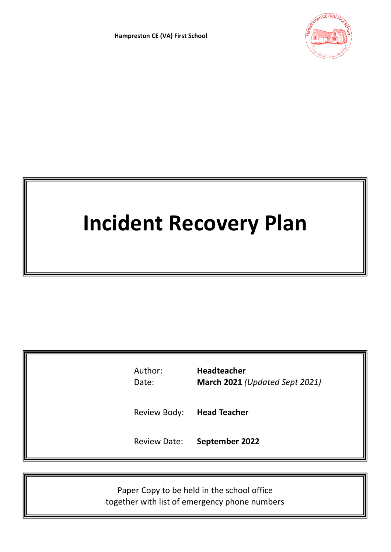

# **Incident Recovery Plan**

| Author:<br>Date:    | <b>Headteacher</b><br>March 2021 (Updated Sept 2021) |
|---------------------|------------------------------------------------------|
| Review Body:        | <b>Head Teacher</b>                                  |
| <b>Review Date:</b> | September 2022                                       |

Paper Copy to be held in the school office together with list of emergency phone numbers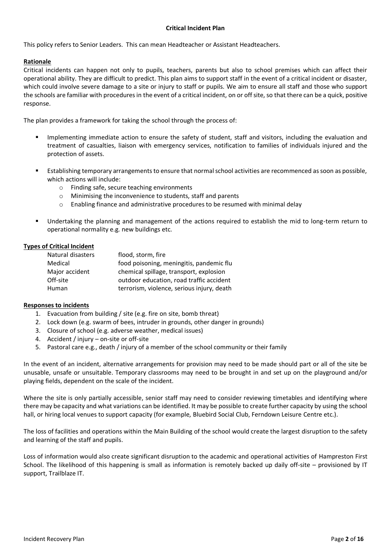## **Critical Incident Plan**

This policy refers to Senior Leaders. This can mean Headteacher or Assistant Headteachers.

## **Rationale**

Critical incidents can happen not only to pupils, teachers, parents but also to school premises which can affect their operational ability. They are difficult to predict. This plan aims to support staff in the event of a critical incident or disaster, which could involve severe damage to a site or injury to staff or pupils. We aim to ensure all staff and those who support the schools are familiar with procedures in the event of a critical incident, on or off site, so that there can be a quick, positive response.

The plan provides a framework for taking the school through the process of:

- Implementing immediate action to ensure the safety of student, staff and visitors, including the evaluation and treatment of casualties, liaison with emergency services, notification to families of individuals injured and the protection of assets.
- Establishing temporary arrangements to ensure that normal school activities are recommenced as soon as possible, which actions will include:
	- o Finding safe, secure teaching environments
	- o Minimising the inconvenience to students, staff and parents
	- $\circ$  Enabling finance and administrative procedures to be resumed with minimal delay
- Undertaking the planning and management of the actions required to establish the mid to long-term return to operational normality e.g. new buildings etc.

#### **Types of Critical Incident**

| Natural disasters | flood, storm, fire                         |
|-------------------|--------------------------------------------|
| Medical           | food poisoning, meningitis, pandemic flu   |
| Major accident    | chemical spillage, transport, explosion    |
| Off-site          | outdoor education, road traffic accident   |
| Human             | terrorism, violence, serious injury, death |

#### **Responses to incidents**

- 1. Evacuation from building / site (e.g. fire on site, bomb threat)
- 2. Lock down (e.g. swarm of bees, intruder in grounds, other danger in grounds)
- 3. Closure of school (e.g. adverse weather, medical issues)
- 4. Accident / injury on-site or off-site
- 5. Pastoral care e.g., death / injury of a member of the school community or their family

In the event of an incident, alternative arrangements for provision may need to be made should part or all of the site be unusable, unsafe or unsuitable. Temporary classrooms may need to be brought in and set up on the playground and/or playing fields, dependent on the scale of the incident.

Where the site is only partially accessible, senior staff may need to consider reviewing timetables and identifying where there may be capacity and what variations can be identified. It may be possible to create further capacity by using the school hall, or hiring local venues to support capacity (for example, Bluebird Social Club, Ferndown Leisure Centre etc.).

The loss of facilities and operations within the Main Building of the school would create the largest disruption to the safety and learning of the staff and pupils.

Loss of information would also create significant disruption to the academic and operational activities of Hampreston First School. The likelihood of this happening is small as information is remotely backed up daily off-site – provisioned by IT support, Trailblaze IT.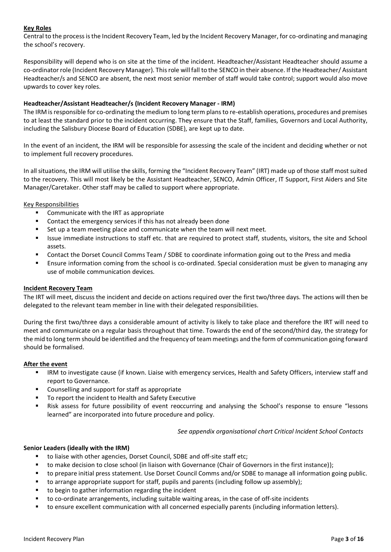## **Key Roles**

Central to the process is the Incident Recovery Team, led by the Incident Recovery Manager, for co-ordinating and managing the school's recovery.

Responsibility will depend who is on site at the time of the incident. Headteacher/Assistant Headteacher should assume a co-ordinator role (Incident Recovery Manager). This role will fall to the SENCO in their absence. If the Headteacher/ Assistant Headteacher/s and SENCO are absent, the next most senior member of staff would take control; support would also move upwards to cover key roles.

## **Headteacher/Assistant Headteacher/s (Incident Recovery Manager - IRM)**

The IRM is responsible for co-ordinating the medium to long term plans to re-establish operations, procedures and premises to at least the standard prior to the incident occurring. They ensure that the Staff, families, Governors and Local Authority, including the Salisbury Diocese Board of Education (SDBE), are kept up to date.

In the event of an incident, the IRM will be responsible for assessing the scale of the incident and deciding whether or not to implement full recovery procedures.

In all situations, the IRM will utilise the skills, forming the "Incident Recovery Team" (IRT) made up of those staff most suited to the recovery. This will most likely be the Assistant Headteacher, SENCO, Admin Officer, IT Support, First Aiders and Site Manager/Caretaker. Other staff may be called to support where appropriate.

## Key Responsibilities

- Communicate with the IRT as appropriate
- Contact the emergency services if this has not already been done
- Set up a team meeting place and communicate when the team will next meet.
- Issue immediate instructions to staff etc. that are required to protect staff, students, visitors, the site and School assets.
- Contact the Dorset Council Comms Team / SDBE to coordinate information going out to the Press and media
- Ensure information coming from the school is co-ordinated. Special consideration must be given to managing any use of mobile communication devices.

#### **Incident Recovery Team**

The IRT will meet, discuss the incident and decide on actions required over the first two/three days. The actions will then be delegated to the relevant team member in line with their delegated responsibilities.

During the first two/three days a considerable amount of activity is likely to take place and therefore the IRT will need to meet and communicate on a regular basis throughout that time. Towards the end of the second/third day, the strategy for the mid to long term should be identified and the frequency of team meetings and the form of communication going forward should be formalised.

#### **After the event**

- IRM to investigate cause (if known. Liaise with emergency services, Health and Safety Officers, interview staff and report to Governance.
- Counselling and support for staff as appropriate
- To report the incident to Health and Safety Executive
- Risk assess for future possibility of event reoccurring and analysing the School's response to ensure "lessons learned" are incorporated into future procedure and policy.

*See appendix organisational chart Critical Incident School Contacts*

#### **Senior Leaders (ideally with the IRM)**

- to liaise with other agencies, Dorset Council, SDBE and off-site staff etc;
- to make decision to close school (in liaison with Governance (Chair of Governors in the first instance));
- to prepare initial press statement. Use Dorset Council Comms and/or SDBE to manage all information going public.
- to arrange appropriate support for staff, pupils and parents (including follow up assembly);
- to begin to gather information regarding the incident
- to co-ordinate arrangements, including suitable waiting areas, in the case of off-site incidents
- to ensure excellent communication with all concerned especially parents (including information letters).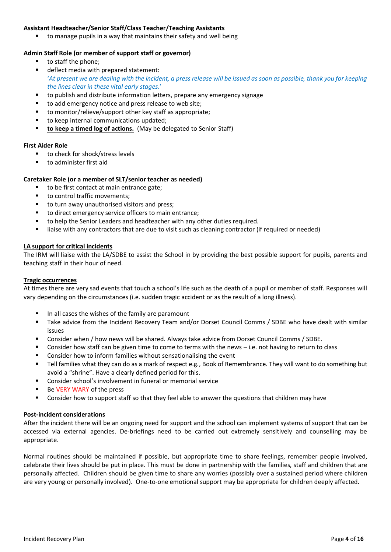## **Assistant Headteacher/Senior Staff/Class Teacher/Teaching Assistants**

to manage pupils in a way that maintains their safety and well being

## **Admin Staff Role (or member of support staff or governor)**

- to staff the phone;
- deflect media with prepared statement: '*At present we are dealing with the incident, a press release will be issued as soon as possible, thank you for keeping the lines clear in these vital early stages.*'
- to publish and distribute information letters, prepare any emergency signage
- to add emergency notice and press release to web site;
- to monitor/relieve/support other key staff as appropriate:
- to keep internal communications updated:
- **to keep a timed log of actions.** (May be delegated to Senior Staff)

#### **First Aider Role**

- to check for shock/stress levels
- to administer first aid

#### **Caretaker Role (or a member of SLT/senior teacher as needed)**

- to be first contact at main entrance gate;
- to control traffic movements:
- to turn away unauthorised visitors and press;
- to direct emergency service officers to main entrance;
- to help the Senior Leaders and headteacher with any other duties required.
- liaise with any contractors that are due to visit such as cleaning contractor (if required or needed)

## **LA support for critical incidents**

The IRM will liaise with the LA/SDBE to assist the School in by providing the best possible support for pupils, parents and teaching staff in their hour of need.

## **Tragic occurrences**

At times there are very sad events that touch a school's life such as the death of a pupil or member of staff. Responses will vary depending on the circumstances (i.e. sudden tragic accident or as the result of a long illness).

- In all cases the wishes of the family are paramount
- Take advice from the Incident Recovery Team and/or Dorset Council Comms / SDBE who have dealt with similar issues
- Consider when / how news will be shared. Always take advice from Dorset Council Comms / SDBE.
- Consider how staff can be given time to come to terms with the news  $-$  i.e. not having to return to class
- Consider how to inform families without sensationalising the event
- Tell families what they can do as a mark of respect e.g., Book of Remembrance. They will want to do something but avoid a "shrine". Have a clearly defined period for this.
- Consider school's involvement in funeral or memorial service
- Be VERY WARY of the press
- Consider how to support staff so that they feel able to answer the questions that children may have

#### **Post-incident considerations**

After the incident there will be an ongoing need for support and the school can implement systems of support that can be accessed via external agencies. De-briefings need to be carried out extremely sensitively and counselling may be appropriate.

Normal routines should be maintained if possible, but appropriate time to share feelings, remember people involved, celebrate their lives should be put in place. This must be done in partnership with the families, staff and children that are personally affected. Children should be given time to share any worries (possibly over a sustained period where children are very young or personally involved). One-to-one emotional support may be appropriate for children deeply affected.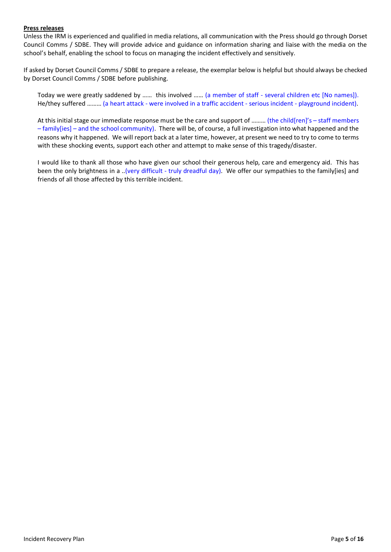## **Press releases**

Unless the IRM is experienced and qualified in media relations, all communication with the Press should go through Dorset Council Comms / SDBE. They will provide advice and guidance on information sharing and liaise with the media on the school's behalf, enabling the school to focus on managing the incident effectively and sensitively.

If asked by Dorset Council Comms / SDBE to prepare a release, the exemplar below is helpful but should always be checked by Dorset Council Comms / SDBE before publishing.

Today we were greatly saddened by …… this involved …… (a member of staff - several children etc [No names]). He/they suffered ……… (a heart attack - were involved in a traffic accident - serious incident - playground incident).

At this initial stage our immediate response must be the care and support of ……… (the child[ren]'s – staff members  $-$  family [ies] – and the school community). There will be, of course, a full investigation into what happened and the reasons why it happened. We will report back at a later time, however, at present we need to try to come to terms with these shocking events, support each other and attempt to make sense of this tragedy/disaster.

I would like to thank all those who have given our school their generous help, care and emergency aid. This has been the only brightness in a ..(very difficult - truly dreadful day). We offer our sympathies to the family[ies] and friends of all those affected by this terrible incident.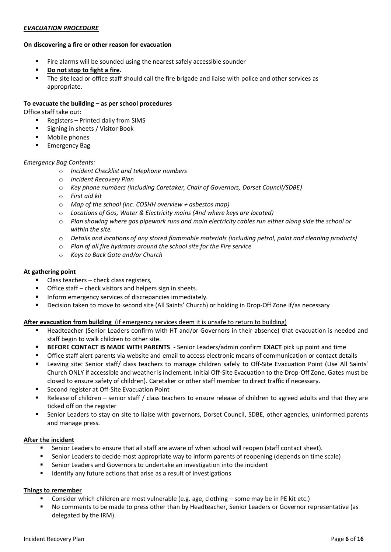## *EVACUATION PROCEDURE*

## **On discovering a fire or other reason for evacuation**

- Fire alarms will be sounded using the nearest safely accessible sounder
- **Do not stop to fight a fire.**
- The site lead or office staff should call the fire brigade and liaise with police and other services as appropriate.

## **To evacuate the building – as per school procedures**

Office staff take out:

- Registers Printed daily from SIMS
- Signing in sheets / Visitor Book
- Mobile phones
- **Emergency Bag**

#### *Emergency Bag Contents:*

- o *Incident Checklist and telephone numbers*
- o *Incident Recovery Plan*
- o *Key phone numbers (including Caretaker, Chair of Governors, Dorset Council/SDBE)*
- o *First aid kit*
- o *Map of the school (inc. COSHH overview + asbestos map)*
- o *Locations of Gas, Water & Electricity mains (And where keys are located)*
- o *Plan showing where gas pipework runs and main electricity cables run either along side the school or within the site.*
- o *Details and locations of any stored flammable materials (including petrol, paint and cleaning products)*
- o *Plan of all fire hydrants around the school site for the Fire service*
- o *Keys to Back Gate and/or Church*

#### **At gathering point**

- Class teachers  $-$  check class registers,
- Office staff check visitors and helpers sign in sheets.
- Inform emergency services of discrepancies immediately.
- Decision taken to move to second site (All Saints' Church) or holding in Drop-Off Zone if/as necessary

## **After evacuation from building** (if emergency services deem it is unsafe to return to building)

- Headteacher (Senior Leaders confirm with HT and/or Governors in their absence) that evacuation is needed and staff begin to walk children to other site.
- **BEFORE CONTACT IS MADE WITH PARENTS** Senior Leaders/admin confirm **EXACT** pick up point and time
- Office staff alert parents via website and email to access electronic means of communication or contact details
- Leaving site: Senior staff/ class teachers to manage children safely to Off-Site Evacuation Point (Use All Saints' Church ONLY if accessible and weather is inclement. Initial Off-Site Evacuation to the Drop-Off Zone. Gates must be closed to ensure safety of children). Caretaker or other staff member to direct traffic if necessary.
- Second register at Off-Site Evacuation Point
- Release of children senior staff / class teachers to ensure release of children to agreed adults and that they are ticked off on the register
- Senior Leaders to stay on site to liaise with governors, Dorset Council, SDBE, other agencies, uninformed parents and manage press.

## **After the incident**

- Senior Leaders to ensure that all staff are aware of when school will reopen (staff contact sheet).
- Senior Leaders to decide most appropriate way to inform parents of reopening (depends on time scale)
- **EXECTE Senior Leaders and Governors to undertake an investigation into the incident**
- Identify any future actions that arise as a result of investigations

## **Things to remember**

- Consider which children are most vulnerable (e.g. age, clothing some may be in PE kit etc.)
- No comments to be made to press other than by Headteacher, Senior Leaders or Governor representative (as delegated by the IRM).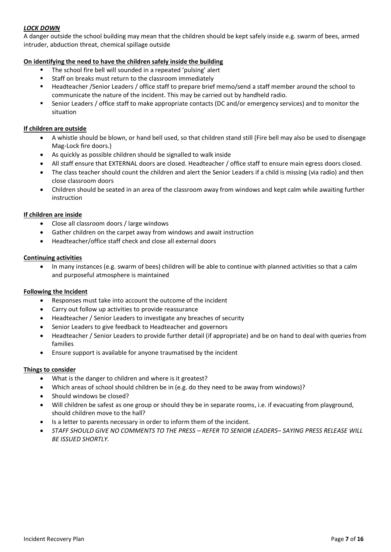# *LOCK DOWN*

A danger outside the school building may mean that the children should be kept safely inside e.g. swarm of bees, armed intruder, abduction threat, chemical spillage outside

## **On identifying the need to have the children safely inside the building**

- The school fire bell will sounded in a repeated 'pulsing' alert
- Staff on breaks must return to the classroom immediately
- Headteacher /Senior Leaders / office staff to prepare brief memo/send a staff member around the school to communicate the nature of the incident. This may be carried out by handheld radio.
- Senior Leaders / office staff to make appropriate contacts (DC and/or emergency services) and to monitor the situation

## **If children are outside**

- A whistle should be blown, or hand bell used, so that children stand still (Fire bell may also be used to disengage Mag-Lock fire doors.)
- As quickly as possible children should be signalled to walk inside
- All staff ensure that EXTERNAL doors are closed. Headteacher / office staff to ensure main egress doors closed.
- The class teacher should count the children and alert the Senior Leaders if a child is missing (via radio) and then close classroom doors
- Children should be seated in an area of the classroom away from windows and kept calm while awaiting further instruction

## **If children are inside**

- Close all classroom doors / large windows
- Gather children on the carpet away from windows and await instruction
- Headteacher/office staff check and close all external doors

## **Continuing activities**

• In many instances (e.g. swarm of bees) children will be able to continue with planned activities so that a calm and purposeful atmosphere is maintained

## **Following the Incident**

- Responses must take into account the outcome of the incident
- Carry out follow up activities to provide reassurance
- Headteacher / Senior Leaders to investigate any breaches of security
- Senior Leaders to give feedback to Headteacher and governors
- Headteacher / Senior Leaders to provide further detail (if appropriate) and be on hand to deal with queries from families
- Ensure support is available for anyone traumatised by the incident

## **Things to consider**

- What is the danger to children and where is it greatest?
- Which areas of school should children be in (e.g. do they need to be away from windows)?
- Should windows be closed?
- Will children be safest as one group or should they be in separate rooms, i.e. if evacuating from playground, should children move to the hall?
- Is a letter to parents necessary in order to inform them of the incident.
- *STAFF SHOULD GIVE NO COMMENTS TO THE PRESS – REFER TO SENIOR LEADERS– SAYING PRESS RELEASE WILL BE ISSUED SHORTLY.*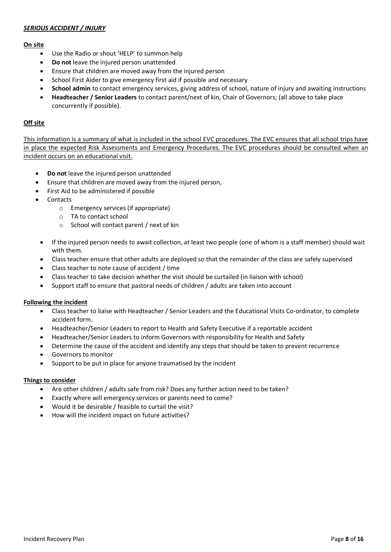## *SERIOUS ACCIDENT / INJURY*

## **On site**

- Use the Radio or shout 'HELP' to summon help
- **Do not** leave the injured person unattended
- Ensure that children are moved away from the injured person
- School First Aider to give emergency first aid if possible and necessary
- **School admin** to contact emergency services, giving address of school, nature of injury and awaiting instructions
- **Headteacher / Senior Leaders** to contact parent/next of kin, Chair of Governors; (all above to take place concurrently if possible).

## **Off site**

This information is a summary of what is included in the school EVC procedures. The EVC ensures that all school trips have in place the expected Risk Assessments and Emergency Procedures. The EVC procedures should be consulted when an incident occurs on an educational visit.

- **Do not** leave the injured person unattended
- Ensure that children are moved away from the injured person,
- First Aid to be administered if possible
- Contacts
	- o Emergency services (if appropriate)
	- o TA to contact school
	- o School will contact parent / next of kin
- If the injured person needs to await collection, at least two people (one of whom is a staff member) should wait with them.
- Class teacher ensure that other adults are deployed so that the remainder of the class are safely supervised
- Class teacher to note cause of accident / time
- Class teacher to take decision whether the visit should be curtailed (in liaison with school)
- Support staff to ensure that pastoral needs of children / adults are taken into account

#### **Following the incident**

- Class teacher to liaise with Headteacher / Senior Leaders and the Educational Visits Co-ordinator, to complete accident form.
- Headteacher/Senior Leaders to report to Health and Safety Executive if a reportable accident
- Headteacher/Senior Leaders to inform Governors with responsibility for Health and Safety
- Determine the cause of the accident and identify any steps that should be taken to prevent recurrence
- Governors to monitor
- Support to be put in place for anyone traumatised by the incident

#### **Things to consider**

- Are other children / adults safe from risk? Does any further action need to be taken?
- Exactly where will emergency services or parents need to come?
- Would it be desirable / feasible to curtail the visit?
- How will the incident impact on future activities?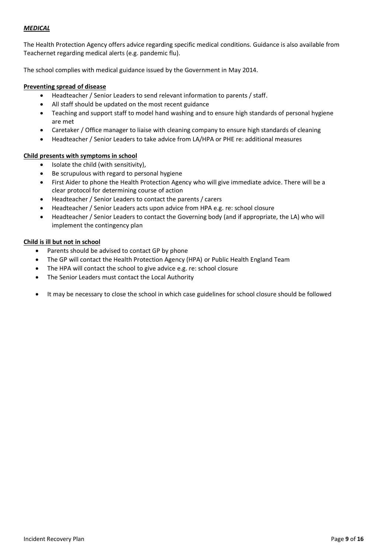## *MEDICAL*

The Health Protection Agency offers advice regarding specific medical conditions. Guidance is also available from Teachernet regarding medical alerts (e.g. pandemic flu).

The school complies with medical guidance issued by the Government in May 2014.

#### **Preventing spread of disease**

- Headteacher / Senior Leaders to send relevant information to parents / staff.
- All staff should be updated on the most recent guidance
- Teaching and support staff to model hand washing and to ensure high standards of personal hygiene are met
- Caretaker / Office manager to liaise with cleaning company to ensure high standards of cleaning
- Headteacher / Senior Leaders to take advice from LA/HPA or PHE re: additional measures

#### **Child presents with symptoms in school**

- Isolate the child (with sensitivity),
- Be scrupulous with regard to personal hygiene
- First Aider to phone the Health Protection Agency who will give immediate advice. There will be a clear protocol for determining course of action
- Headteacher / Senior Leaders to contact the parents / carers
- Headteacher / Senior Leaders acts upon advice from HPA e.g. re: school closure
- Headteacher / Senior Leaders to contact the Governing body (and if appropriate, the LA) who will implement the contingency plan

## **Child is ill but not in school**

- Parents should be advised to contact GP by phone
- The GP will contact the Health Protection Agency (HPA) or Public Health England Team
- The HPA will contact the school to give advice e.g. re: school closure
- The Senior Leaders must contact the Local Authority
- It may be necessary to close the school in which case guidelines for school closure should be followed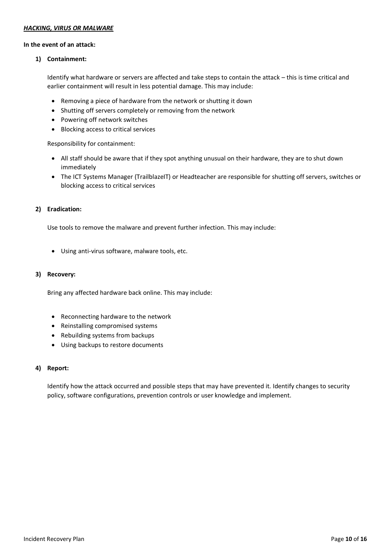## *HACKING, VIRUS OR MALWARE*

#### **In the event of an attack:**

#### **1) Containment:**

Identify what hardware or servers are affected and take steps to contain the attack – this is time critical and earlier containment will result in less potential damage. This may include:

- Removing a piece of hardware from the network or shutting it down
- Shutting off servers completely or removing from the network
- Powering off network switches
- Blocking access to critical services

Responsibility for containment:

- All staff should be aware that if they spot anything unusual on their hardware, they are to shut down immediately
- The ICT Systems Manager (TrailblazeIT) or Headteacher are responsible for shutting off servers, switches or blocking access to critical services

## **2) Eradication:**

Use tools to remove the malware and prevent further infection. This may include:

• Using anti-virus software, malware tools, etc.

#### **3) Recovery:**

Bring any affected hardware back online. This may include:

- Reconnecting hardware to the network
- Reinstalling compromised systems
- Rebuilding systems from backups
- Using backups to restore documents

#### **4) Report:**

Identify how the attack occurred and possible steps that may have prevented it. Identify changes to security policy, software configurations, prevention controls or user knowledge and implement.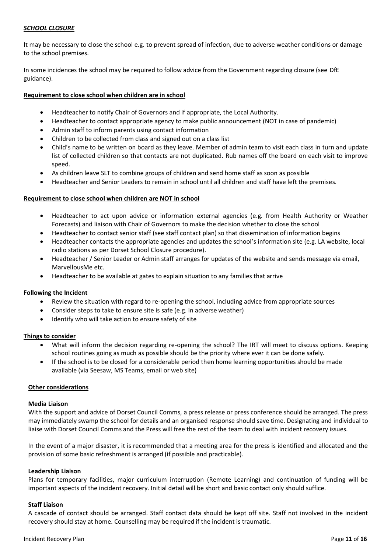## *SCHOOL CLOSURE*

It may be necessary to close the school e.g. to prevent spread of infection, due to adverse weather conditions or damage to the school premises.

In some incidences the school may be required to follow advice from the Government regarding closure (see DfE guidance).

## **Requirement to close school when children are in school**

- Headteacher to notify Chair of Governors and if appropriate, the Local Authority.
- Headteacher to contact appropriate agency to make public announcement (NOT in case of pandemic)
- Admin staff to inform parents using contact information
- Children to be collected from class and signed out on a class list
- Child's name to be written on board as they leave. Member of admin team to visit each class in turn and update list of collected children so that contacts are not duplicated. Rub names off the board on each visit to improve speed.
- As children leave SLT to combine groups of children and send home staff as soon as possible
- Headteacher and Senior Leaders to remain in school until all children and staff have left the premises.

## **Requirement to close school when children are NOT in school**

- Headteacher to act upon advice or information external agencies (e.g. from Health Authority or Weather Forecasts) and liaison with Chair of Governors to make the decision whether to close the school
- Headteacher to contact senior staff (see staff contact plan) so that dissemination of information begins
- Headteacher contacts the appropriate agencies and updates the school's information site (e.g. LA website, local radio stations as per Dorset School Closure procedure).
- Headteacher / Senior Leader or Admin staff arranges for updates of the website and sends message via email, MarvellousMe etc.
- Headteacher to be available at gates to explain situation to any families that arrive

#### **Following the Incident**

- Review the situation with regard to re-opening the school, including advice from appropriate sources
- Consider steps to take to ensure site is safe (e.g. in adverse weather)
- Identify who will take action to ensure safety of site

#### **Things to consider**

- What will inform the decision regarding re-opening the school? The IRT will meet to discuss options. Keeping school routines going as much as possible should be the priority where ever it can be done safely.
- If the school is to be closed for a considerable period then home learning opportunities should be made available (via Seesaw, MS Teams, email or web site)

#### **Other considerations**

#### **Media Liaison**

With the support and advice of Dorset Council Comms, a press release or press conference should be arranged. The press may immediately swamp the school for details and an organised response should save time. Designating and individual to liaise with Dorset Council Comms and the Press will free the rest of the team to deal with incident recovery issues.

In the event of a major disaster, it is recommended that a meeting area for the press is identified and allocated and the provision of some basic refreshment is arranged (if possible and practicable).

#### **Leadership Liaison**

Plans for temporary facilities, major curriculum interruption (Remote Learning) and continuation of funding will be important aspects of the incident recovery. Initial detail will be short and basic contact only should suffice.

#### **Staff Liaison**

A cascade of contact should be arranged. Staff contact data should be kept off site. Staff not involved in the incident recovery should stay at home. Counselling may be required if the incident is traumatic.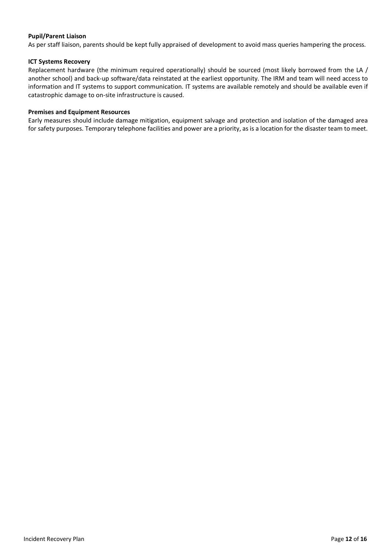## **Pupil/Parent Liaison**

As per staff liaison, parents should be kept fully appraised of development to avoid mass queries hampering the process.

#### **ICT Systems Recovery**

Replacement hardware (the minimum required operationally) should be sourced (most likely borrowed from the LA / another school) and back-up software/data reinstated at the earliest opportunity. The IRM and team will need access to information and IT systems to support communication. IT systems are available remotely and should be available even if catastrophic damage to on-site infrastructure is caused.

#### **Premises and Equipment Resources**

Early measures should include damage mitigation, equipment salvage and protection and isolation of the damaged area for safety purposes. Temporary telephone facilities and power are a priority, as is a location for the disaster team to meet.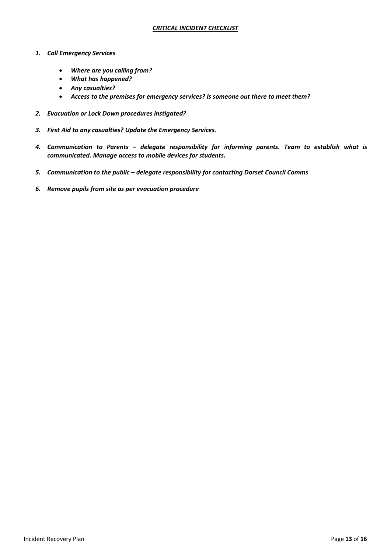- *1. Call Emergency Services*
	- *Where are you calling from?*
	- *What has happened?*
	- *Any casualties?*
	- *Access to the premises for emergency services? Is someone out there to meet them?*
- *2. Evacuation or Lock Down procedures instigated?*
- *3. First Aid to any casualties? Update the Emergency Services.*
- *4. Communication to Parents – delegate responsibility for informing parents. Team to establish what is communicated. Manage access to mobile devices for students.*
- *5. Communication to the public – delegate responsibility for contacting Dorset Council Comms*
- *6. Remove pupils from site as per evacuation procedure*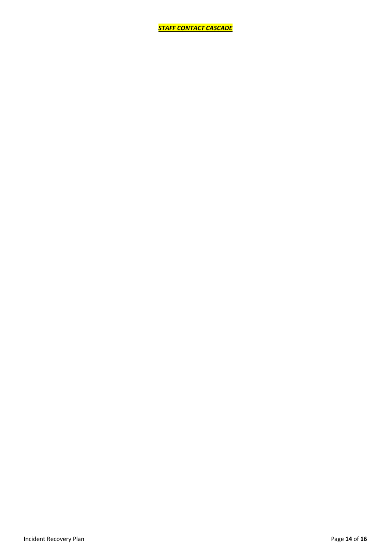*STAFF CONTACT CASCADE*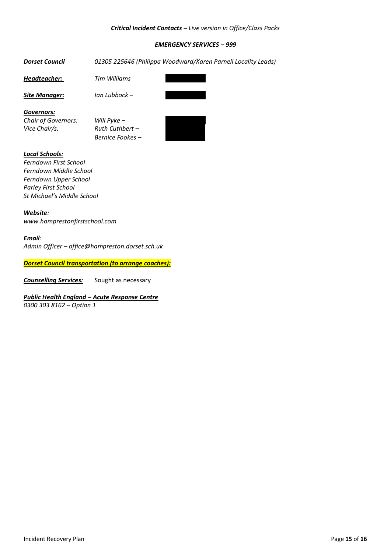#### *Critical Incident Contacts – Live version in Office/Class Packs*

## *EMERGENCY SERVICES – 999*

# *Dorset Council 01305 225646 (Philippa Woodward/Karen Parnell Locality Leads)*

**Headteacher: Tim Williams** 

*Site Manager: Ian Lubbock – 07980 300452*

*Governors:*

*Chair of Governors: Will Pyke -Vice Chair/s: Ruth Cuthbert –* 

*Bernice Fookes – 07### ######*



## *Local Schools:*

*Ferndown First School Ferndown Middle School Ferndown Upper School Parley First School St Michael's Middle School*

*Website: www.hamprestonfirstschool.com*

#### *Email:*

*Admin Officer – office@hampreston.dorset.sch.uk*

*Dorset Council transportation (to arrange coaches):*

*Counselling Services:* Sought as necessary

# *Public Health England – Acute Response Centre*

*0300 303 8162 – Option 1*